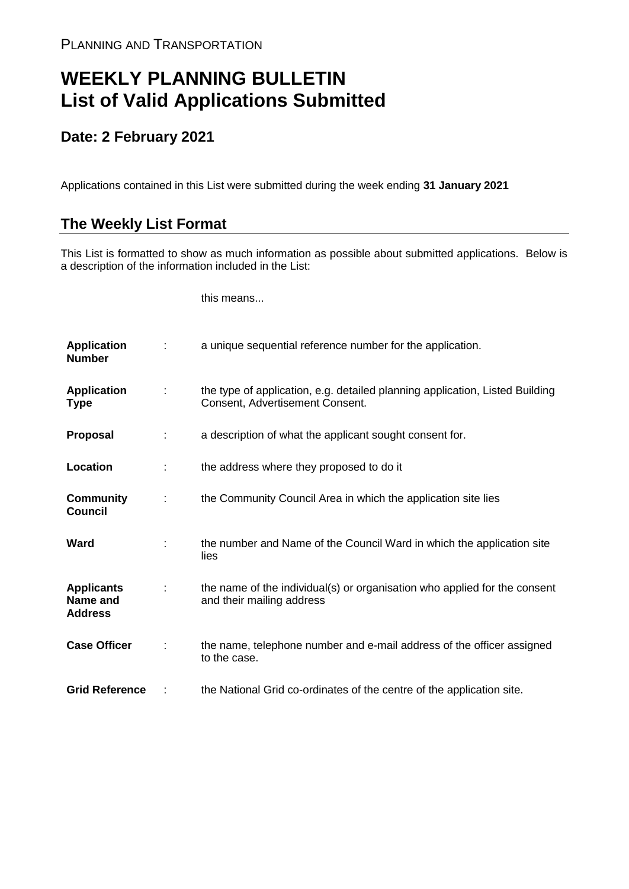## **WEEKLY PLANNING BULLETIN List of Valid Applications Submitted**

## **Date: 2 February 2021**

Applications contained in this List were submitted during the week ending **31 January 2021**

## **The Weekly List Format**

This List is formatted to show as much information as possible about submitted applications. Below is a description of the information included in the List:

this means...

| <b>Application</b><br><b>Number</b>             |               | a unique sequential reference number for the application.                                                       |
|-------------------------------------------------|---------------|-----------------------------------------------------------------------------------------------------------------|
| <b>Application</b><br>Type                      | $\mathcal{L}$ | the type of application, e.g. detailed planning application, Listed Building<br>Consent, Advertisement Consent. |
| <b>Proposal</b>                                 | ÷             | a description of what the applicant sought consent for.                                                         |
| Location                                        |               | the address where they proposed to do it                                                                        |
| <b>Community</b><br><b>Council</b>              | ÷             | the Community Council Area in which the application site lies                                                   |
| Ward                                            |               | the number and Name of the Council Ward in which the application site<br>lies                                   |
| <b>Applicants</b><br>Name and<br><b>Address</b> |               | the name of the individual(s) or organisation who applied for the consent<br>and their mailing address          |
| <b>Case Officer</b>                             |               | the name, telephone number and e-mail address of the officer assigned<br>to the case.                           |
| <b>Grid Reference</b>                           |               | the National Grid co-ordinates of the centre of the application site.                                           |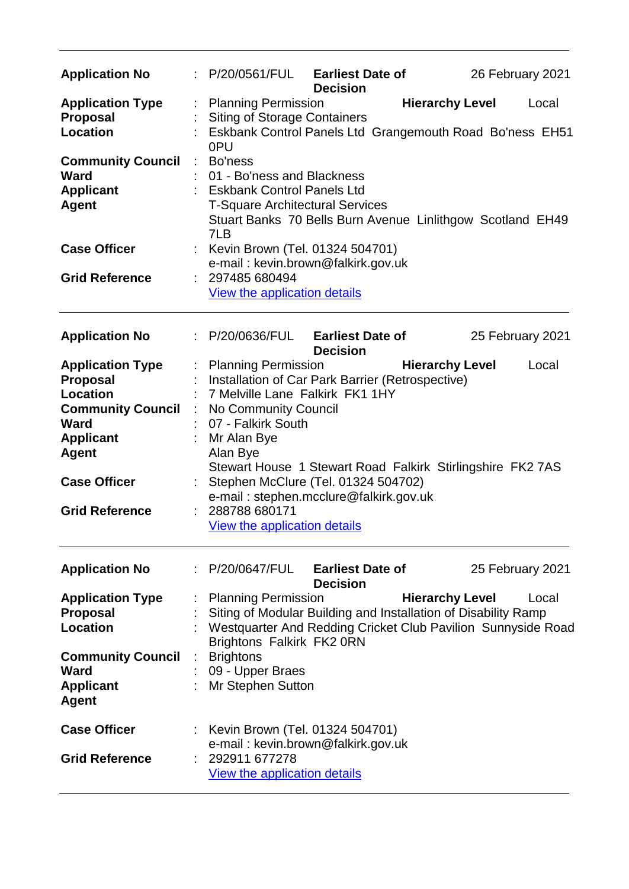| <b>Application No</b>                                                                                                                                                                        |    | : P/20/0561/FUL                                                                                                                                                                                                                                                                                                                                                                                   | <b>Earliest Date of</b><br><b>Decision</b> |                        | 26 February 2021 |
|----------------------------------------------------------------------------------------------------------------------------------------------------------------------------------------------|----|---------------------------------------------------------------------------------------------------------------------------------------------------------------------------------------------------------------------------------------------------------------------------------------------------------------------------------------------------------------------------------------------------|--------------------------------------------|------------------------|------------------|
| <b>Application Type</b><br>Proposal<br><b>Location</b>                                                                                                                                       |    | <b>Planning Permission</b><br><b>Siting of Storage Containers</b><br>Eskbank Control Panels Ltd Grangemouth Road Bo'ness EH51<br>0PU                                                                                                                                                                                                                                                              |                                            | <b>Hierarchy Level</b> | Local            |
| <b>Community Council</b><br>Ward<br><b>Applicant</b><br><b>Agent</b><br><b>Case Officer</b>                                                                                                  | ÷  | Bo'ness<br>01 - Bo'ness and Blackness<br><b>Eskbank Control Panels Ltd</b><br><b>T-Square Architectural Services</b><br>Stuart Banks 70 Bells Burn Avenue Linlithgow Scotland EH49<br>7LB<br>: Kevin Brown (Tel. 01324 504701)                                                                                                                                                                    |                                            |                        |                  |
| <b>Grid Reference</b>                                                                                                                                                                        |    | e-mail: kevin.brown@falkirk.gov.uk<br>: 297485 680494<br>View the application details                                                                                                                                                                                                                                                                                                             |                                            |                        |                  |
| <b>Application No</b>                                                                                                                                                                        |    | P/20/0636/FUL                                                                                                                                                                                                                                                                                                                                                                                     | <b>Earliest Date of</b>                    |                        | 25 February 2021 |
| <b>Application Type</b><br><b>Proposal</b><br><b>Location</b><br><b>Community Council</b><br><b>Ward</b><br><b>Applicant</b><br><b>Agent</b><br><b>Case Officer</b><br><b>Grid Reference</b> |    | <b>Planning Permission</b><br>Installation of Car Park Barrier (Retrospective)<br>7 Melville Lane Falkirk FK1 1HY<br>No Community Council<br>07 - Falkirk South<br>Mr Alan Bye<br>Alan Bye<br>Stewart House 1 Stewart Road Falkirk Stirlingshire FK2 7AS<br>Stephen McClure (Tel. 01324 504702)<br>e-mail: stephen.mcclure@falkirk.gov.uk<br>288788 680171<br><b>View the application details</b> | <b>Decision</b>                            | <b>Hierarchy Level</b> | Local            |
| <b>Application No</b>                                                                                                                                                                        | ÷. | P/20/0647/FUL                                                                                                                                                                                                                                                                                                                                                                                     | <b>Earliest Date of</b><br><b>Decision</b> |                        | 25 February 2021 |
| <b>Application Type</b><br><b>Proposal</b><br><b>Location</b>                                                                                                                                |    | <b>Planning Permission</b><br>Siting of Modular Building and Installation of Disability Ramp<br>Westquarter And Redding Cricket Club Pavilion Sunnyside Road<br>Brightons Falkirk FK2 0RN                                                                                                                                                                                                         |                                            | <b>Hierarchy Level</b> | Local            |
| <b>Community Council</b><br><b>Ward</b><br><b>Applicant</b><br><b>Agent</b>                                                                                                                  |    | <b>Brightons</b><br>09 - Upper Braes<br>Mr Stephen Sutton                                                                                                                                                                                                                                                                                                                                         |                                            |                        |                  |
| <b>Case Officer</b><br><b>Grid Reference</b>                                                                                                                                                 |    | Kevin Brown (Tel. 01324 504701)<br>e-mail: kevin.brown@falkirk.gov.uk<br>292911 677278<br>View the application details                                                                                                                                                                                                                                                                            |                                            |                        |                  |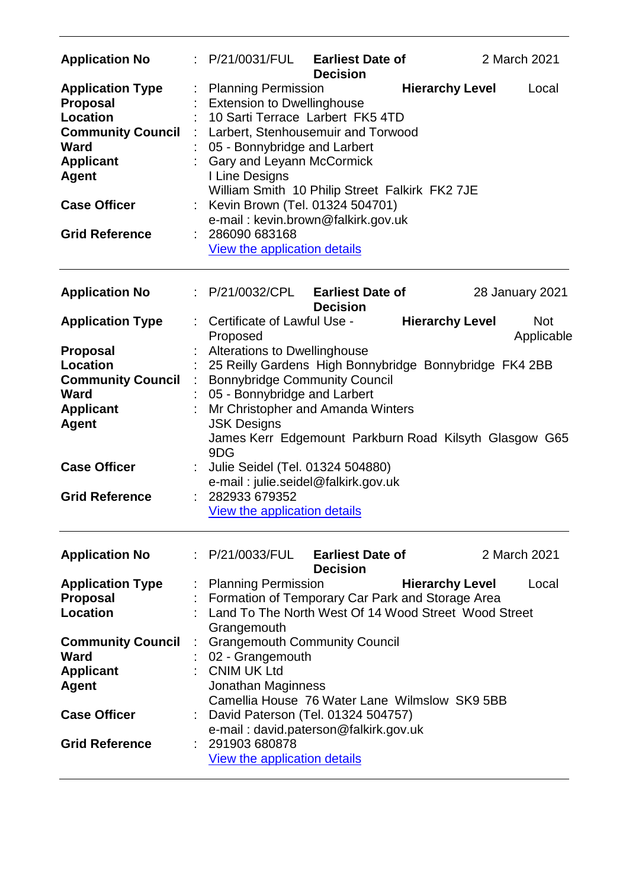| <b>Application No</b>                                                                                                                                                                        |   | P/21/0031/FUL                                                                                                                                                                                                                                                                                                                                                                                               | <b>Earliest Date of</b><br><b>Decision</b> |                                                        | 2 March 2021             |  |
|----------------------------------------------------------------------------------------------------------------------------------------------------------------------------------------------|---|-------------------------------------------------------------------------------------------------------------------------------------------------------------------------------------------------------------------------------------------------------------------------------------------------------------------------------------------------------------------------------------------------------------|--------------------------------------------|--------------------------------------------------------|--------------------------|--|
| <b>Application Type</b><br><b>Proposal</b><br><b>Location</b><br><b>Community Council</b><br><b>Ward</b><br><b>Applicant</b><br><b>Agent</b><br><b>Case Officer</b><br><b>Grid Reference</b> | ÷ | <b>Planning Permission</b><br><b>Extension to Dwellinghouse</b><br>10 Sarti Terrace Larbert FK5 4TD<br>Larbert, Stenhousemuir and Torwood<br>05 - Bonnybridge and Larbert<br>Gary and Leyann McCormick<br>I Line Designs<br>William Smith 10 Philip Street Falkirk FK2 7JE<br>Kevin Brown (Tel. 01324 504701)<br>e-mail: kevin.brown@falkirk.gov.uk<br>286090 683168<br><b>View the application details</b> |                                            | <b>Hierarchy Level</b>                                 | Local                    |  |
| <b>Application No</b>                                                                                                                                                                        |   | $\therefore$ P/21/0032/CPL Earliest Date of                                                                                                                                                                                                                                                                                                                                                                 | <b>Decision</b>                            |                                                        | 28 January 2021          |  |
| <b>Application Type</b>                                                                                                                                                                      |   | Certificate of Lawful Use -<br>Proposed                                                                                                                                                                                                                                                                                                                                                                     |                                            | <b>Hierarchy Level</b>                                 | <b>Not</b><br>Applicable |  |
| <b>Proposal</b>                                                                                                                                                                              |   | Alterations to Dwellinghouse                                                                                                                                                                                                                                                                                                                                                                                |                                            |                                                        |                          |  |
| <b>Location</b>                                                                                                                                                                              |   |                                                                                                                                                                                                                                                                                                                                                                                                             |                                            | 25 Reilly Gardens High Bonnybridge Bonnybridge FK4 2BB |                          |  |
| <b>Community Council</b>                                                                                                                                                                     |   | <b>Bonnybridge Community Council</b>                                                                                                                                                                                                                                                                                                                                                                        |                                            |                                                        |                          |  |
| <b>Ward</b>                                                                                                                                                                                  |   | 05 - Bonnybridge and Larbert                                                                                                                                                                                                                                                                                                                                                                                |                                            |                                                        |                          |  |
| <b>Applicant</b>                                                                                                                                                                             |   |                                                                                                                                                                                                                                                                                                                                                                                                             |                                            |                                                        |                          |  |
| <b>Agent</b>                                                                                                                                                                                 |   | Mr Christopher and Amanda Winters<br><b>JSK Designs</b>                                                                                                                                                                                                                                                                                                                                                     |                                            |                                                        |                          |  |
|                                                                                                                                                                                              |   | 9DG                                                                                                                                                                                                                                                                                                                                                                                                         |                                            | James Kerr Edgemount Parkburn Road Kilsyth Glasgow G65 |                          |  |
| <b>Case Officer</b>                                                                                                                                                                          |   | Julie Seidel (Tel. 01324 504880)<br>e-mail: julie.seidel@falkirk.gov.uk                                                                                                                                                                                                                                                                                                                                     |                                            |                                                        |                          |  |
| <b>Grid Reference</b>                                                                                                                                                                        |   | 282933 679352                                                                                                                                                                                                                                                                                                                                                                                               |                                            |                                                        |                          |  |
|                                                                                                                                                                                              |   | View the application details                                                                                                                                                                                                                                                                                                                                                                                |                                            |                                                        |                          |  |
| <b>Application No</b>                                                                                                                                                                        |   | P/21/0033/FUL                                                                                                                                                                                                                                                                                                                                                                                               | <b>Earliest Date of</b><br><b>Decision</b> |                                                        | 2 March 2021             |  |
| <b>Application Type</b>                                                                                                                                                                      |   | <b>Planning Permission</b>                                                                                                                                                                                                                                                                                                                                                                                  |                                            | <b>Hierarchy Level</b>                                 | Local                    |  |
| <b>Proposal</b>                                                                                                                                                                              |   |                                                                                                                                                                                                                                                                                                                                                                                                             |                                            | Formation of Temporary Car Park and Storage Area       |                          |  |
| Location                                                                                                                                                                                     |   |                                                                                                                                                                                                                                                                                                                                                                                                             |                                            | Land To The North West Of 14 Wood Street Wood Street   |                          |  |
|                                                                                                                                                                                              |   | Grangemouth                                                                                                                                                                                                                                                                                                                                                                                                 |                                            |                                                        |                          |  |
| <b>Community Council</b>                                                                                                                                                                     |   | <b>Grangemouth Community Council</b>                                                                                                                                                                                                                                                                                                                                                                        |                                            |                                                        |                          |  |
| <b>Ward</b>                                                                                                                                                                                  |   | 02 - Grangemouth                                                                                                                                                                                                                                                                                                                                                                                            |                                            |                                                        |                          |  |
|                                                                                                                                                                                              |   | <b>CNIM UK Ltd</b>                                                                                                                                                                                                                                                                                                                                                                                          |                                            |                                                        |                          |  |
| <b>Applicant</b>                                                                                                                                                                             |   |                                                                                                                                                                                                                                                                                                                                                                                                             |                                            |                                                        |                          |  |
| <b>Agent</b>                                                                                                                                                                                 |   | Jonathan Maginness                                                                                                                                                                                                                                                                                                                                                                                          |                                            |                                                        |                          |  |
|                                                                                                                                                                                              |   |                                                                                                                                                                                                                                                                                                                                                                                                             |                                            | Camellia House 76 Water Lane Wilmslow SK9 5BB          |                          |  |
| <b>Case Officer</b>                                                                                                                                                                          |   | David Paterson (Tel. 01324 504757)                                                                                                                                                                                                                                                                                                                                                                          |                                            |                                                        |                          |  |
|                                                                                                                                                                                              |   | e-mail: david.paterson@falkirk.gov.uk                                                                                                                                                                                                                                                                                                                                                                       |                                            |                                                        |                          |  |
| <b>Grid Reference</b>                                                                                                                                                                        |   | 291903 680878                                                                                                                                                                                                                                                                                                                                                                                               |                                            |                                                        |                          |  |
|                                                                                                                                                                                              |   | View the application details                                                                                                                                                                                                                                                                                                                                                                                |                                            |                                                        |                          |  |
|                                                                                                                                                                                              |   |                                                                                                                                                                                                                                                                                                                                                                                                             |                                            |                                                        |                          |  |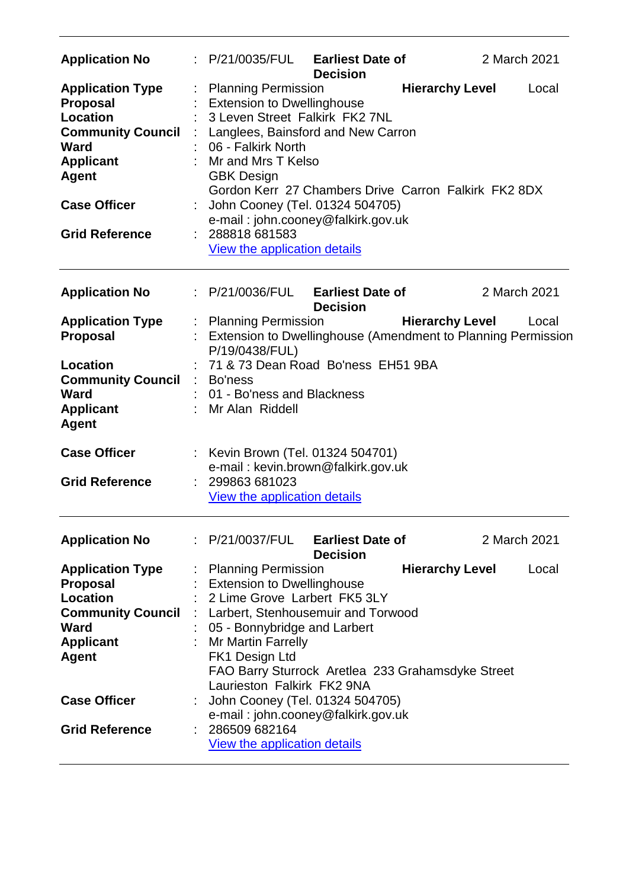| <b>Application No</b>                                                                                                                                                                        |    | : P/21/0035/FUL                                                                                                                                                                                                                                                                                                                                                                            | <b>Earliest Date of</b><br><b>Decision</b> |                        | 2 March 2021 |       |
|----------------------------------------------------------------------------------------------------------------------------------------------------------------------------------------------|----|--------------------------------------------------------------------------------------------------------------------------------------------------------------------------------------------------------------------------------------------------------------------------------------------------------------------------------------------------------------------------------------------|--------------------------------------------|------------------------|--------------|-------|
| <b>Application Type</b><br><b>Proposal</b><br><b>Location</b><br><b>Community Council</b><br><b>Ward</b><br><b>Applicant</b><br><b>Agent</b><br><b>Case Officer</b><br><b>Grid Reference</b> |    | <b>Planning Permission</b><br><b>Extension to Dwellinghouse</b><br>3 Leven Street Falkirk FK2 7NL<br>Langlees, Bainsford and New Carron<br>06 - Falkirk North<br>Mr and Mrs T Kelso<br><b>GBK Design</b><br>Gordon Kerr 27 Chambers Drive Carron Falkirk FK2 8DX<br>John Cooney (Tel. 01324 504705)<br>e-mail: john.cooney@falkirk.gov.uk<br>288818 681583<br>View the application details |                                            | <b>Hierarchy Level</b> |              | Local |
| <b>Application No</b>                                                                                                                                                                        |    | : P/21/0036/FUL Earliest Date of                                                                                                                                                                                                                                                                                                                                                           | <b>Decision</b>                            |                        | 2 March 2021 |       |
| <b>Application Type</b><br><b>Proposal</b>                                                                                                                                                   | t. | <b>Planning Permission</b><br>Extension to Dwellinghouse (Amendment to Planning Permission<br>P/19/0438/FUL)                                                                                                                                                                                                                                                                               |                                            | <b>Hierarchy Level</b> |              | Local |
| <b>Location</b><br><b>Community Council</b><br><b>Ward</b><br><b>Applicant</b><br><b>Agent</b>                                                                                               |    | 71 & 73 Dean Road Bo'ness EH51 9BA<br>Bo'ness<br>01 - Bo'ness and Blackness<br>Mr Alan Riddell                                                                                                                                                                                                                                                                                             |                                            |                        |              |       |
| <b>Case Officer</b>                                                                                                                                                                          |    | Kevin Brown (Tel. 01324 504701)<br>e-mail: kevin.brown@falkirk.gov.uk                                                                                                                                                                                                                                                                                                                      |                                            |                        |              |       |
| <b>Grid Reference</b>                                                                                                                                                                        |    | 299863 681023<br>View the application details                                                                                                                                                                                                                                                                                                                                              |                                            |                        |              |       |
| <b>Application No</b>                                                                                                                                                                        |    | : P/21/0037/FUL                                                                                                                                                                                                                                                                                                                                                                            | <b>Earliest Date of</b><br><b>Decision</b> |                        | 2 March 2021 |       |
| <b>Application Type</b><br><b>Proposal</b><br><b>Location</b><br><b>Community Council</b><br><b>Ward</b><br><b>Applicant</b><br><b>Agent</b>                                                 |    | <b>Planning Permission</b><br><b>Extension to Dwellinghouse</b><br>2 Lime Grove Larbert FK5 3LY<br>Larbert, Stenhousemuir and Torwood<br>05 - Bonnybridge and Larbert<br>Mr Martin Farrelly<br>FK1 Design Ltd<br>FAO Barry Sturrock Aretlea 233 Grahamsdyke Street<br>Laurieston Falkirk FK2 9NA                                                                                           |                                            | <b>Hierarchy Level</b> |              | Local |
| <b>Case Officer</b><br><b>Grid Reference</b>                                                                                                                                                 |    | John Cooney (Tel. 01324 504705)<br>e-mail: john.cooney@falkirk.gov.uk<br>286509 682164<br><b>View the application details</b>                                                                                                                                                                                                                                                              |                                            |                        |              |       |